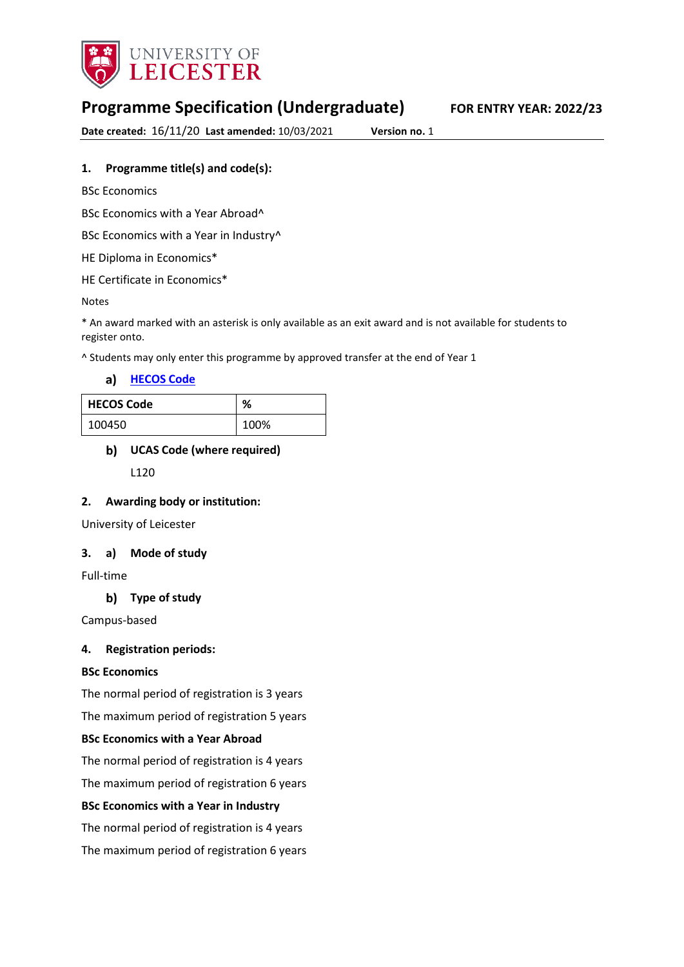

# **Programme Specification (Undergraduate) FOR ENTRY YEAR: 2022/23**

**Date created:** 16/11/20 **Last amended:** 10/03/2021 **Version no.** 1

# **1. Programme title(s) and code(s):**

BSc Economics

BSc Economics with a Year Abroad^

BSc Economics with a Year in Industry<sup>^</sup>

HE Diploma in Economics\*

HE Certificate in Economics\*

Notes

\* An award marked with an asterisk is only available as an exit award and is not available for students to register onto.

^ Students may only enter this programme by approved transfer at the end of Year 1

**[HECOS Code](https://www.hesa.ac.uk/innovation/hecos)**

| <b>HECOS Code</b> | %    |
|-------------------|------|
| 100450            | 100% |

# **UCAS Code (where required)**

L120

### **2. Awarding body or institution:**

University of Leicester

### **3. a) Mode of study**

Full-time

# **Type of study**

Campus-based

## **4. Registration periods:**

### **BSc Economics**

The normal period of registration is 3 years

The maximum period of registration 5 years

### **BSc Economics with a Year Abroad**

The normal period of registration is 4 years

The maximum period of registration 6 years

### **BSc Economics with a Year in Industry**

The normal period of registration is 4 years The maximum period of registration 6 years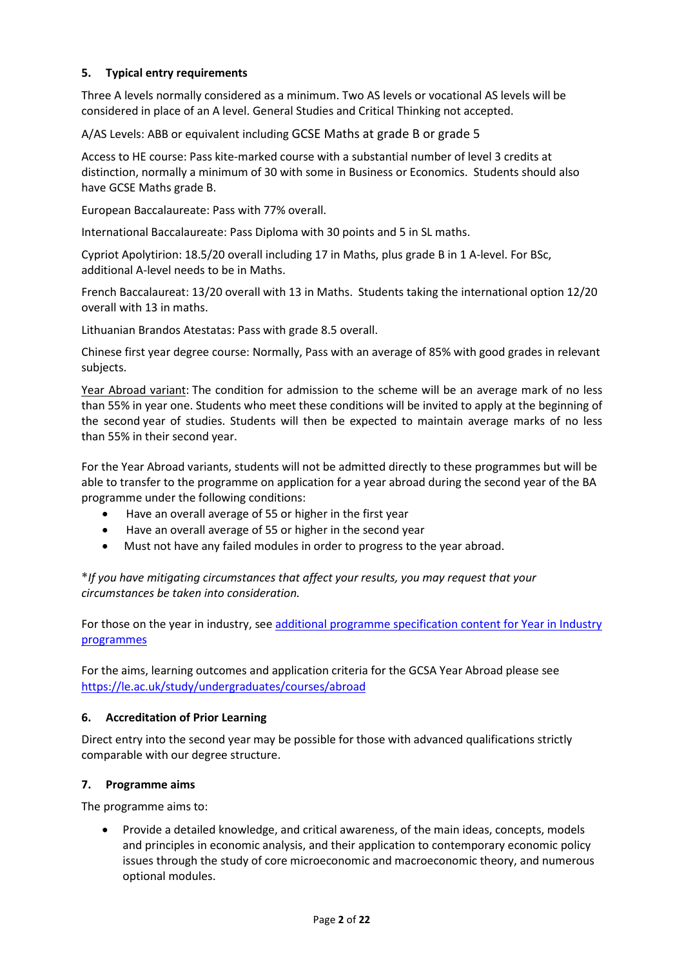# **5. Typical entry requirements**

Three A levels normally considered as a minimum. Two AS levels or vocational AS levels will be considered in place of an A level. General Studies and Critical Thinking not accepted.

A/AS Levels: ABB or equivalent including GCSE Maths at grade B or grade 5

Access to HE course: Pass kite-marked course with a substantial number of level 3 credits at distinction, normally a minimum of 30 with some in Business or Economics. Students should also have GCSE Maths grade B.

European Baccalaureate: Pass with 77% overall.

International Baccalaureate: Pass Diploma with 30 points and 5 in SL maths.

Cypriot Apolytirion: 18.5/20 overall including 17 in Maths, plus grade B in 1 A-level. For BSc, additional A-level needs to be in Maths.

French Baccalaureat: 13/20 overall with 13 in Maths. Students taking the international option 12/20 overall with 13 in maths.

Lithuanian Brandos Atestatas: Pass with grade 8.5 overall.

Chinese first year degree course: Normally, Pass with an average of 85% with good grades in relevant subjects.

Year Abroad variant: The condition for admission to the scheme will be an average mark of no less than 55% in year one. Students who meet these conditions will be invited to apply at the beginning of the second year of studies. Students will then be expected to maintain average marks of no less than 55% in their second year.

For the Year Abroad variants, students will not be admitted directly to these programmes but will be able to transfer to the programme on application for a year abroad during the second year of the BA programme under the following conditions:

- Have an overall average of 55 or higher in the first year
- Have an overall average of 55 or higher in the second year
- Must not have any failed modules in order to progress to the year abroad.

**\****If you have mitigating circumstances that affect your results, you may request that your circumstances be taken into consideration.*

For those on the year in industry, se[e additional programme specification content for Year in Industry](https://www2.le.ac.uk/offices/sas2/courses/documentation/undergraduate-programme-specification-content-for-year-in-industry-programme-variants)  [programmes](https://www2.le.ac.uk/offices/sas2/courses/documentation/undergraduate-programme-specification-content-for-year-in-industry-programme-variants)

For the aims, learning outcomes and application criteria for the GCSA Year Abroad please see <https://le.ac.uk/study/undergraduates/courses/abroad>

### **6. Accreditation of Prior Learning**

Direct entry into the second year may be possible for those with advanced qualifications strictly comparable with our degree structure.

### **7. Programme aims**

The programme aims to:

• Provide a detailed knowledge, and critical awareness, of the main ideas, concepts, models and principles in economic analysis, and their application to contemporary economic policy issues through the study of core microeconomic and macroeconomic theory, and numerous optional modules.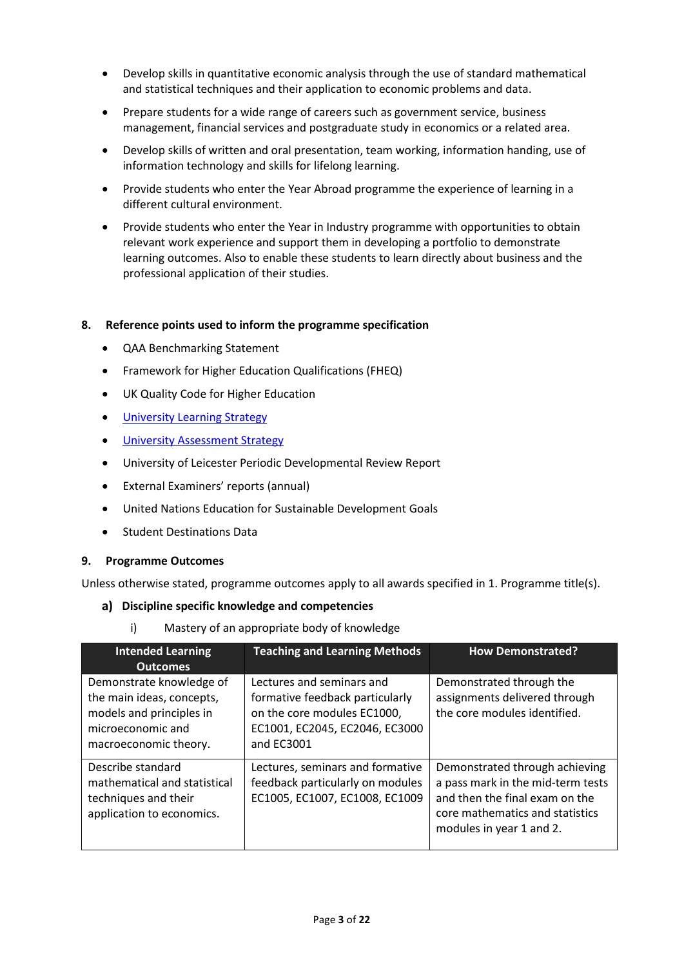- Develop skills in quantitative economic analysis through the use of standard mathematical and statistical techniques and their application to economic problems and data.
- Prepare students for a wide range of careers such as government service, business management, financial services and postgraduate study in economics or a related area.
- Develop skills of written and oral presentation, team working, information handing, use of information technology and skills for lifelong learning.
- Provide students who enter the Year Abroad programme the experience of learning in a different cultural environment.
- Provide students who enter the Year in Industry programme with opportunities to obtain relevant work experience and support them in developing a portfolio to demonstrate learning outcomes. Also to enable these students to learn directly about business and the professional application of their studies.

## **8. Reference points used to inform the programme specification**

- QAA Benchmarking Statement
- Framework for Higher Education Qualifications (FHEQ)
- UK Quality Code for Higher Education
- University Learnin[g Strategy](https://www2.le.ac.uk/offices/sas2/quality/learnteach)
- [University Assessment Strategy](https://www2.le.ac.uk/offices/sas2/quality/learnteach)
- University of Leicester Periodic Developmental Review Report
- External Examiners' reports (annual)
- United Nations Education for Sustainable Development Goals
- Student Destinations Data

### **9. Programme Outcomes**

Unless otherwise stated, programme outcomes apply to all awards specified in 1. Programme title(s).

### **Discipline specific knowledge and competencies**

i) Mastery of an appropriate body of knowledge

| <b>Intended Learning</b><br><b>Outcomes</b>                                                                                     | <b>Teaching and Learning Methods</b>                                                                                                        | <b>How Demonstrated?</b>                                                                                                                                             |
|---------------------------------------------------------------------------------------------------------------------------------|---------------------------------------------------------------------------------------------------------------------------------------------|----------------------------------------------------------------------------------------------------------------------------------------------------------------------|
| Demonstrate knowledge of<br>the main ideas, concepts,<br>models and principles in<br>microeconomic and<br>macroeconomic theory. | Lectures and seminars and<br>formative feedback particularly<br>on the core modules EC1000,<br>EC1001, EC2045, EC2046, EC3000<br>and EC3001 | Demonstrated through the<br>assignments delivered through<br>the core modules identified.                                                                            |
| Describe standard<br>mathematical and statistical<br>techniques and their<br>application to economics.                          | Lectures, seminars and formative<br>feedback particularly on modules<br>EC1005, EC1007, EC1008, EC1009                                      | Demonstrated through achieving<br>a pass mark in the mid-term tests<br>and then the final exam on the<br>core mathematics and statistics<br>modules in year 1 and 2. |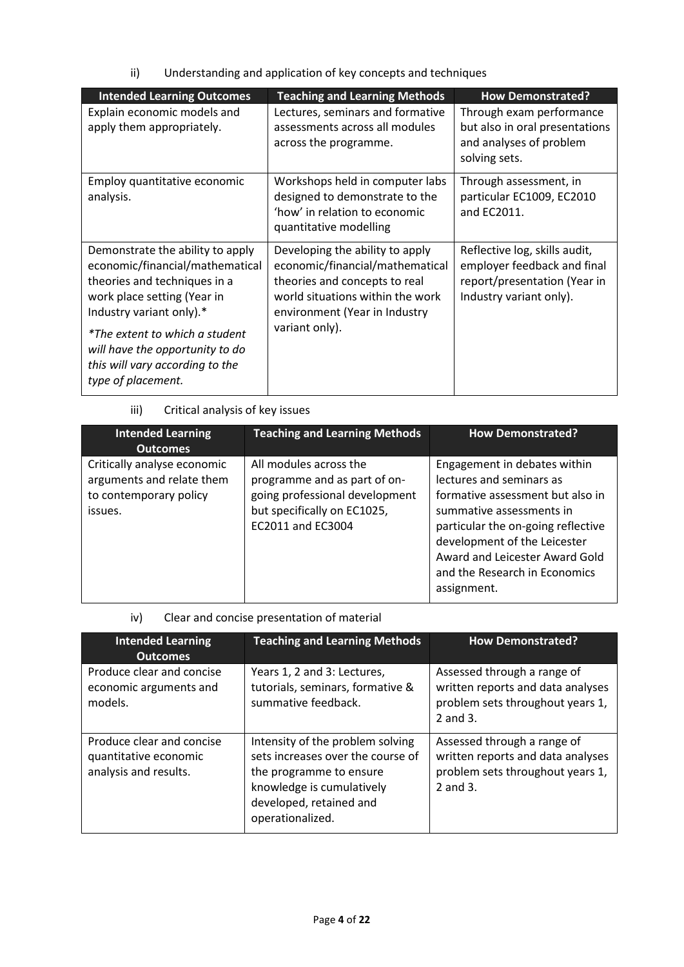ii) Understanding and application of key concepts and techniques

| <b>Intended Learning Outcomes</b>                                                                                                                                                                                                                                                            | <b>Teaching and Learning Methods</b>                                                                                                                                                       | <b>How Demonstrated?</b>                                                                                                |
|----------------------------------------------------------------------------------------------------------------------------------------------------------------------------------------------------------------------------------------------------------------------------------------------|--------------------------------------------------------------------------------------------------------------------------------------------------------------------------------------------|-------------------------------------------------------------------------------------------------------------------------|
| Explain economic models and<br>apply them appropriately.                                                                                                                                                                                                                                     | Lectures, seminars and formative<br>assessments across all modules<br>across the programme.                                                                                                | Through exam performance<br>but also in oral presentations<br>and analyses of problem<br>solving sets.                  |
| Employ quantitative economic<br>analysis.                                                                                                                                                                                                                                                    | Workshops held in computer labs<br>designed to demonstrate to the<br>'how' in relation to economic<br>quantitative modelling                                                               | Through assessment, in<br>particular EC1009, EC2010<br>and EC2011.                                                      |
| Demonstrate the ability to apply<br>economic/financial/mathematical<br>theories and techniques in a<br>work place setting (Year in<br>Industry variant only).*<br>*The extent to which a student<br>will have the opportunity to do<br>this will vary according to the<br>type of placement. | Developing the ability to apply<br>economic/financial/mathematical<br>theories and concepts to real<br>world situations within the work<br>environment (Year in Industry<br>variant only). | Reflective log, skills audit,<br>employer feedback and final<br>report/presentation (Year in<br>Industry variant only). |

# iii) Critical analysis of key issues

| <b>Intended Learning</b><br><b>Outcomes</b>                                                   | <b>Teaching and Learning Methods</b>                                                                                                         | <b>How Demonstrated?</b>                                                                                                                                                                                                                                                         |
|-----------------------------------------------------------------------------------------------|----------------------------------------------------------------------------------------------------------------------------------------------|----------------------------------------------------------------------------------------------------------------------------------------------------------------------------------------------------------------------------------------------------------------------------------|
| Critically analyse economic<br>arguments and relate them<br>to contemporary policy<br>issues. | All modules across the<br>programme and as part of on-<br>going professional development<br>but specifically on EC1025,<br>EC2011 and EC3004 | Engagement in debates within<br>lectures and seminars as<br>formative assessment but also in<br>summative assessments in<br>particular the on-going reflective<br>development of the Leicester<br>Award and Leicester Award Gold<br>and the Research in Economics<br>assignment. |

# iv) Clear and concise presentation of material

| <b>Intended Learning</b><br><b>Outcomes</b>                                 | <b>Teaching and Learning Methods</b>                                                                                                                                         | <b>How Demonstrated?</b>                                                                                              |
|-----------------------------------------------------------------------------|------------------------------------------------------------------------------------------------------------------------------------------------------------------------------|-----------------------------------------------------------------------------------------------------------------------|
| Produce clear and concise<br>economic arguments and<br>models.              | Years 1, 2 and 3: Lectures,<br>tutorials, seminars, formative &<br>summative feedback.                                                                                       | Assessed through a range of<br>written reports and data analyses<br>problem sets throughout years 1,<br>2 and 3.      |
| Produce clear and concise<br>quantitative economic<br>analysis and results. | Intensity of the problem solving<br>sets increases over the course of<br>the programme to ensure<br>knowledge is cumulatively<br>developed, retained and<br>operationalized. | Assessed through a range of<br>written reports and data analyses<br>problem sets throughout years 1,<br>$2$ and $3$ . |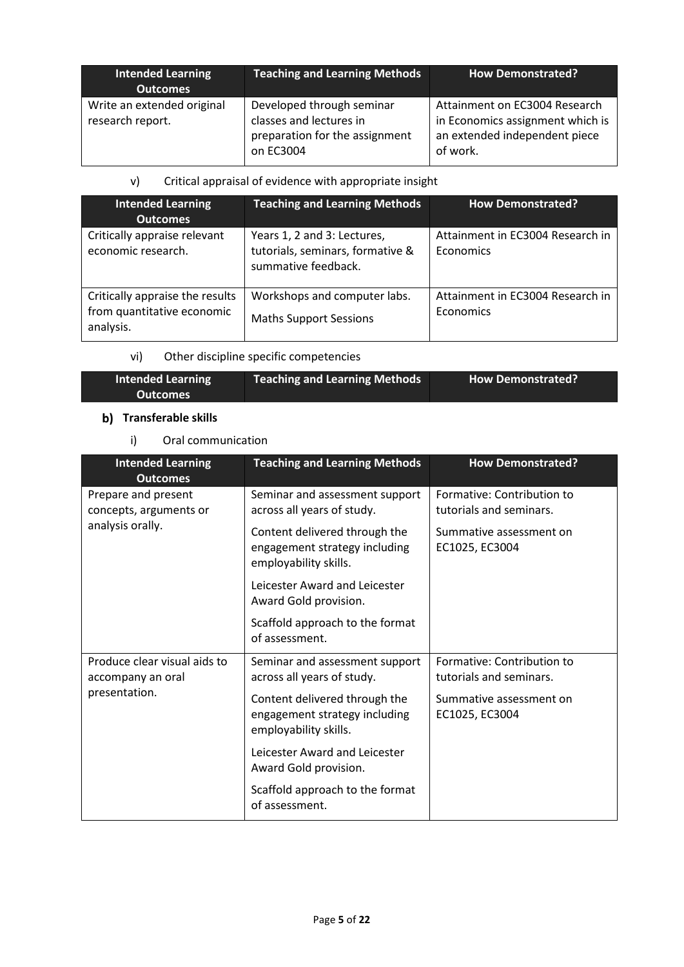| Intended Learning<br><b>Outcomes</b>           | <b>Teaching and Learning Methods</b>                                                                | <b>How Demonstrated?</b>                                                                                       |
|------------------------------------------------|-----------------------------------------------------------------------------------------------------|----------------------------------------------------------------------------------------------------------------|
| Write an extended original<br>research report. | Developed through seminar<br>classes and lectures in<br>preparation for the assignment<br>on EC3004 | Attainment on EC3004 Research<br>in Economics assignment which is<br>an extended independent piece<br>of work. |

# v) Critical appraisal of evidence with appropriate insight

| <b>Intended Learning</b><br><b>Outcomes</b>                                | <b>Teaching and Learning Methods</b>                                                   | <b>How Demonstrated?</b>                      |
|----------------------------------------------------------------------------|----------------------------------------------------------------------------------------|-----------------------------------------------|
| Critically appraise relevant<br>economic research.                         | Years 1, 2 and 3: Lectures,<br>tutorials, seminars, formative &<br>summative feedback. | Attainment in EC3004 Research in<br>Economics |
| Critically appraise the results<br>from quantitative economic<br>analysis. | Workshops and computer labs.<br><b>Maths Support Sessions</b>                          | Attainment in EC3004 Research in<br>Economics |

vi) Other discipline specific competencies

| <b>Intended Learning</b> | <b>Teaching and Learning Methods</b> | <b>How Demonstrated?</b> |
|--------------------------|--------------------------------------|--------------------------|
| <b>Outcomes</b>          |                                      |                          |
|                          |                                      |                          |

# **b)** Transferable skills

i) Oral communication

| <b>Intended Learning</b><br><b>Outcomes</b>       | <b>Teaching and Learning Methods</b>                                                    | <b>How Demonstrated?</b>                              |
|---------------------------------------------------|-----------------------------------------------------------------------------------------|-------------------------------------------------------|
| Prepare and present<br>concepts, arguments or     | Seminar and assessment support<br>across all years of study.                            | Formative: Contribution to<br>tutorials and seminars. |
| analysis orally.                                  | Content delivered through the<br>engagement strategy including<br>employability skills. | Summative assessment on<br>EC1025, EC3004             |
|                                                   | Leicester Award and Leicester<br>Award Gold provision.                                  |                                                       |
|                                                   | Scaffold approach to the format<br>of assessment.                                       |                                                       |
| Produce clear visual aids to<br>accompany an oral | Seminar and assessment support<br>across all years of study.                            | Formative: Contribution to<br>tutorials and seminars. |
| presentation.                                     | Content delivered through the<br>engagement strategy including<br>employability skills. | Summative assessment on<br>EC1025, EC3004             |
|                                                   | Leicester Award and Leicester<br>Award Gold provision.                                  |                                                       |
|                                                   | Scaffold approach to the format<br>of assessment.                                       |                                                       |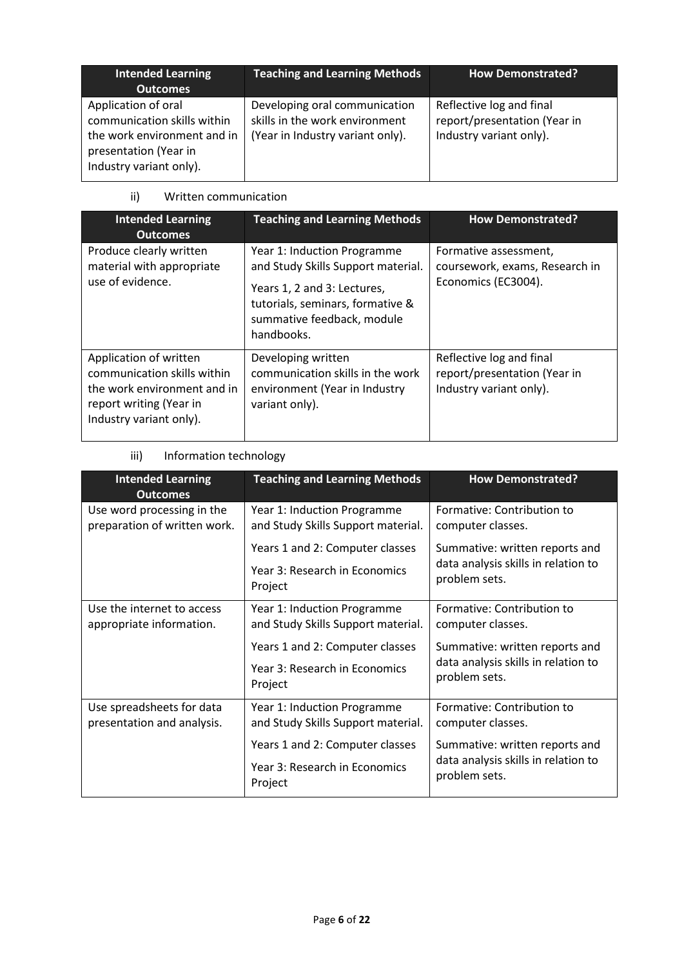| <b>Intended Learning</b><br><b>Outcomes</b>                                                                                           | <b>Teaching and Learning Methods</b>                                                                | <b>How Demonstrated?</b>                                                            |
|---------------------------------------------------------------------------------------------------------------------------------------|-----------------------------------------------------------------------------------------------------|-------------------------------------------------------------------------------------|
| Application of oral<br>communication skills within<br>the work environment and in<br>presentation (Year in<br>Industry variant only). | Developing oral communication<br>skills in the work environment<br>(Year in Industry variant only). | Reflective log and final<br>report/presentation (Year in<br>Industry variant only). |

# ii) Written communication

| <b>Intended Learning</b><br><b>Outcomes</b>                                                                                                | <b>Teaching and Learning Methods</b>                                                                                                                                             | <b>How Demonstrated?</b>                                                            |
|--------------------------------------------------------------------------------------------------------------------------------------------|----------------------------------------------------------------------------------------------------------------------------------------------------------------------------------|-------------------------------------------------------------------------------------|
| Produce clearly written<br>material with appropriate<br>use of evidence.                                                                   | Year 1: Induction Programme<br>and Study Skills Support material.<br>Years 1, 2 and 3: Lectures,<br>tutorials, seminars, formative &<br>summative feedback, module<br>handbooks. | Formative assessment,<br>coursework, exams, Research in<br>Economics (EC3004).      |
| Application of written<br>communication skills within<br>the work environment and in<br>report writing (Year in<br>Industry variant only). | Developing written<br>communication skills in the work<br>environment (Year in Industry<br>variant only).                                                                        | Reflective log and final<br>report/presentation (Year in<br>Industry variant only). |

# iii) Information technology

| <b>Intended Learning</b><br><b>Outcomes</b>                | <b>Teaching and Learning Methods</b>                              | <b>How Demonstrated?</b>                                                               |
|------------------------------------------------------------|-------------------------------------------------------------------|----------------------------------------------------------------------------------------|
| Use word processing in the<br>preparation of written work. | Year 1: Induction Programme<br>and Study Skills Support material. | Formative: Contribution to<br>computer classes.                                        |
|                                                            | Years 1 and 2: Computer classes                                   | Summative: written reports and                                                         |
|                                                            | Year 3: Research in Economics<br>Project                          | data analysis skills in relation to<br>problem sets.                                   |
| Use the internet to access<br>appropriate information.     | Year 1: Induction Programme<br>and Study Skills Support material. | Formative: Contribution to<br>computer classes.                                        |
|                                                            | Years 1 and 2: Computer classes                                   | Summative: written reports and                                                         |
|                                                            | Year 3: Research in Economics<br>Project                          | data analysis skills in relation to<br>problem sets.                                   |
| Use spreadsheets for data<br>presentation and analysis.    | Year 1: Induction Programme<br>and Study Skills Support material. | Formative: Contribution to<br>computer classes.                                        |
|                                                            | Years 1 and 2: Computer classes                                   | Summative: written reports and<br>data analysis skills in relation to<br>problem sets. |
|                                                            | Year 3: Research in Economics<br>Project                          |                                                                                        |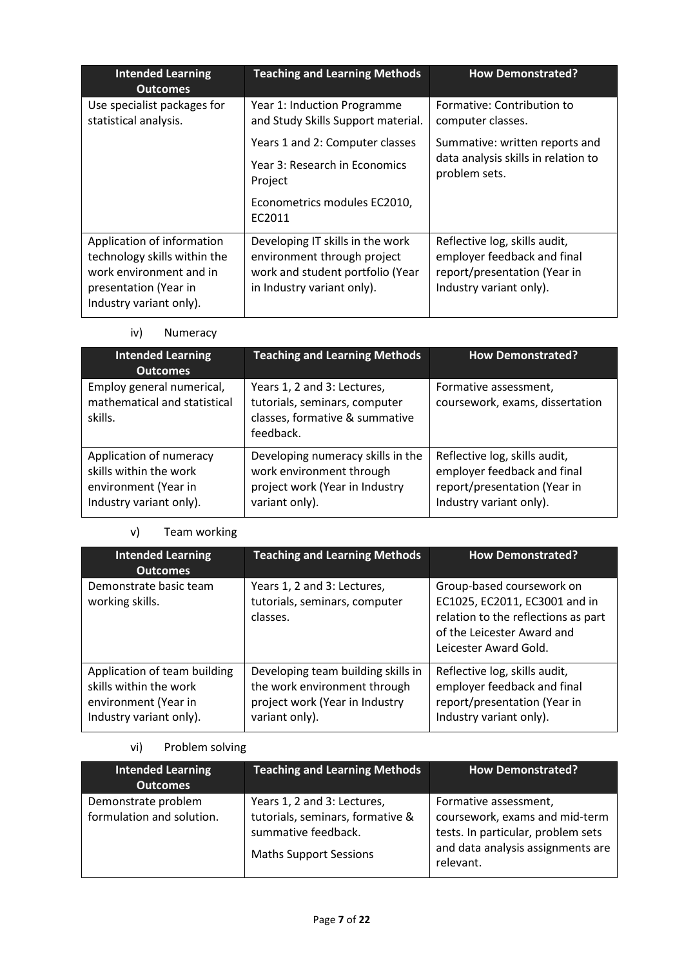| <b>Intended Learning</b><br><b>Outcomes</b>                                                                                               | <b>Teaching and Learning Methods</b>                                                                                              | <b>How Demonstrated?</b>                                                                                                |
|-------------------------------------------------------------------------------------------------------------------------------------------|-----------------------------------------------------------------------------------------------------------------------------------|-------------------------------------------------------------------------------------------------------------------------|
| Use specialist packages for<br>statistical analysis.                                                                                      | Year 1: Induction Programme<br>and Study Skills Support material.                                                                 | Formative: Contribution to<br>computer classes.                                                                         |
|                                                                                                                                           | Years 1 and 2: Computer classes                                                                                                   | Summative: written reports and                                                                                          |
|                                                                                                                                           | Year 3: Research in Economics<br>Project                                                                                          | data analysis skills in relation to<br>problem sets.                                                                    |
|                                                                                                                                           | Econometrics modules EC2010,<br>EC2011                                                                                            |                                                                                                                         |
| Application of information<br>technology skills within the<br>work environment and in<br>presentation (Year in<br>Industry variant only). | Developing IT skills in the work<br>environment through project<br>work and student portfolio (Year<br>in Industry variant only). | Reflective log, skills audit,<br>employer feedback and final<br>report/presentation (Year in<br>Industry variant only). |

iv) Numeracy

| <b>Intended Learning</b><br><b>Outcomes</b>                                                          | <b>Teaching and Learning Methods</b>                                                                              | <b>How Demonstrated?</b>                                                                                                |
|------------------------------------------------------------------------------------------------------|-------------------------------------------------------------------------------------------------------------------|-------------------------------------------------------------------------------------------------------------------------|
| Employ general numerical,<br>mathematical and statistical<br>skills.                                 | Years 1, 2 and 3: Lectures,<br>tutorials, seminars, computer<br>classes, formative & summative<br>feedback.       | Formative assessment,<br>coursework, exams, dissertation                                                                |
| Application of numeracy<br>skills within the work<br>environment (Year in<br>Industry variant only). | Developing numeracy skills in the<br>work environment through<br>project work (Year in Industry<br>variant only). | Reflective log, skills audit,<br>employer feedback and final<br>report/presentation (Year in<br>Industry variant only). |

# v) Team working

| <b>Intended Learning</b><br><b>Outcomes</b>                                                               | <b>Teaching and Learning Methods</b>                                                                                   | <b>How Demonstrated?</b>                                                                                                                                 |
|-----------------------------------------------------------------------------------------------------------|------------------------------------------------------------------------------------------------------------------------|----------------------------------------------------------------------------------------------------------------------------------------------------------|
| Demonstrate basic team<br>working skills.                                                                 | Years 1, 2 and 3: Lectures,<br>tutorials, seminars, computer<br>classes.                                               | Group-based coursework on<br>EC1025, EC2011, EC3001 and in<br>relation to the reflections as part<br>of the Leicester Award and<br>Leicester Award Gold. |
| Application of team building<br>skills within the work<br>environment (Year in<br>Industry variant only). | Developing team building skills in<br>the work environment through<br>project work (Year in Industry<br>variant only). | Reflective log, skills audit,<br>employer feedback and final<br>report/presentation (Year in<br>Industry variant only).                                  |

# vi) Problem solving

| <b>Intended Learning</b><br><b>Outcomes</b>      | <b>Teaching and Learning Methods</b>                                                                                    | <b>How Demonstrated?</b>                                                                                                                        |
|--------------------------------------------------|-------------------------------------------------------------------------------------------------------------------------|-------------------------------------------------------------------------------------------------------------------------------------------------|
| Demonstrate problem<br>formulation and solution. | Years 1, 2 and 3: Lectures,<br>tutorials, seminars, formative &<br>summative feedback.<br><b>Maths Support Sessions</b> | Formative assessment,<br>coursework, exams and mid-term<br>tests. In particular, problem sets<br>and data analysis assignments are<br>relevant. |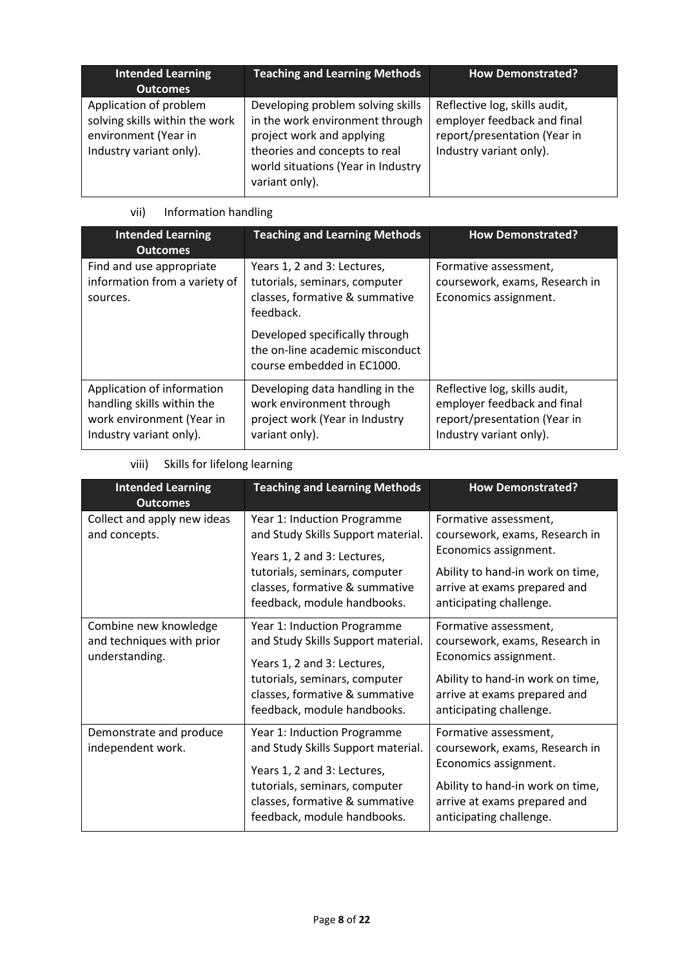| <b>Intended Learning</b><br><b>Outcomes</b>                                                                 | <b>Teaching and Learning Methods</b>                                                                                                                                                       | <b>How Demonstrated?</b>                                                                                                |
|-------------------------------------------------------------------------------------------------------------|--------------------------------------------------------------------------------------------------------------------------------------------------------------------------------------------|-------------------------------------------------------------------------------------------------------------------------|
| Application of problem<br>solving skills within the work<br>environment (Year in<br>Industry variant only). | Developing problem solving skills<br>in the work environment through<br>project work and applying<br>theories and concepts to real<br>world situations (Year in Industry<br>variant only). | Reflective log, skills audit,<br>employer feedback and final<br>report/presentation (Year in<br>Industry variant only). |

# vii) Information handling

| <b>Intended Learning</b><br><b>Outcomes</b>                                                                      | <b>Teaching and Learning Methods</b>                                                                            | <b>How Demonstrated?</b>                                                                                                |
|------------------------------------------------------------------------------------------------------------------|-----------------------------------------------------------------------------------------------------------------|-------------------------------------------------------------------------------------------------------------------------|
| Find and use appropriate<br>information from a variety of<br>sources.                                            | Years 1, 2 and 3: Lectures,<br>tutorials, seminars, computer<br>classes, formative & summative<br>feedback.     | Formative assessment,<br>coursework, exams, Research in<br>Economics assignment.                                        |
|                                                                                                                  | Developed specifically through<br>the on-line academic misconduct<br>course embedded in EC1000.                 |                                                                                                                         |
| Application of information<br>handling skills within the<br>work environment (Year in<br>Industry variant only). | Developing data handling in the<br>work environment through<br>project work (Year in Industry<br>variant only). | Reflective log, skills audit,<br>employer feedback and final<br>report/presentation (Year in<br>Industry variant only). |

# viii) Skills for lifelong learning

| <b>Intended Learning</b><br><b>Outcomes</b>                          | <b>Teaching and Learning Methods</b>                                                                                                                                                               | <b>How Demonstrated?</b>                                                                                                                                                        |
|----------------------------------------------------------------------|----------------------------------------------------------------------------------------------------------------------------------------------------------------------------------------------------|---------------------------------------------------------------------------------------------------------------------------------------------------------------------------------|
| Collect and apply new ideas<br>and concepts.                         | Year 1: Induction Programme<br>and Study Skills Support material.                                                                                                                                  | Formative assessment,<br>coursework, exams, Research in                                                                                                                         |
|                                                                      | Years 1, 2 and 3: Lectures,<br>tutorials, seminars, computer<br>classes, formative & summative<br>feedback, module handbooks.                                                                      | Economics assignment.<br>Ability to hand-in work on time,<br>arrive at exams prepared and<br>anticipating challenge.                                                            |
| Combine new knowledge<br>and techniques with prior<br>understanding. | Year 1: Induction Programme<br>and Study Skills Support material.<br>Years 1, 2 and 3: Lectures,<br>tutorials, seminars, computer<br>classes, formative & summative<br>feedback, module handbooks. | Formative assessment,<br>coursework, exams, Research in<br>Economics assignment.<br>Ability to hand-in work on time,<br>arrive at exams prepared and<br>anticipating challenge. |
| Demonstrate and produce<br>independent work.                         | Year 1: Induction Programme<br>and Study Skills Support material.<br>Years 1, 2 and 3: Lectures,<br>tutorials, seminars, computer<br>classes, formative & summative<br>feedback, module handbooks. | Formative assessment,<br>coursework, exams, Research in<br>Economics assignment.<br>Ability to hand-in work on time,<br>arrive at exams prepared and<br>anticipating challenge. |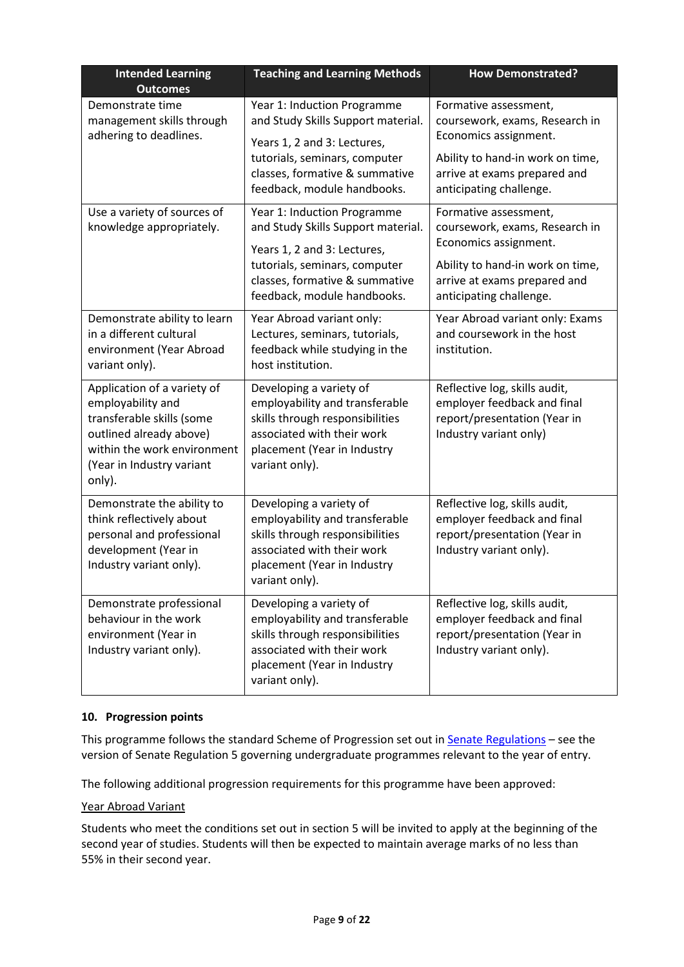| <b>Intended Learning</b>                                                                                                                                                       | <b>Teaching and Learning Methods</b>                                                                                                                                                               | <b>How Demonstrated?</b>                                                                                                                                                        |
|--------------------------------------------------------------------------------------------------------------------------------------------------------------------------------|----------------------------------------------------------------------------------------------------------------------------------------------------------------------------------------------------|---------------------------------------------------------------------------------------------------------------------------------------------------------------------------------|
| <b>Outcomes</b><br>Demonstrate time<br>management skills through<br>adhering to deadlines.                                                                                     | Year 1: Induction Programme<br>and Study Skills Support material.<br>Years 1, 2 and 3: Lectures,<br>tutorials, seminars, computer<br>classes, formative & summative<br>feedback, module handbooks. | Formative assessment,<br>coursework, exams, Research in<br>Economics assignment.<br>Ability to hand-in work on time,<br>arrive at exams prepared and<br>anticipating challenge. |
| Use a variety of sources of<br>knowledge appropriately.                                                                                                                        | Year 1: Induction Programme<br>and Study Skills Support material.<br>Years 1, 2 and 3: Lectures,<br>tutorials, seminars, computer<br>classes, formative & summative<br>feedback, module handbooks. | Formative assessment,<br>coursework, exams, Research in<br>Economics assignment.<br>Ability to hand-in work on time,<br>arrive at exams prepared and<br>anticipating challenge. |
| Demonstrate ability to learn<br>in a different cultural<br>environment (Year Abroad<br>variant only).                                                                          | Year Abroad variant only:<br>Lectures, seminars, tutorials,<br>feedback while studying in the<br>host institution.                                                                                 | Year Abroad variant only: Exams<br>and coursework in the host<br>institution.                                                                                                   |
| Application of a variety of<br>employability and<br>transferable skills (some<br>outlined already above)<br>within the work environment<br>(Year in Industry variant<br>only). | Developing a variety of<br>employability and transferable<br>skills through responsibilities<br>associated with their work<br>placement (Year in Industry<br>variant only).                        | Reflective log, skills audit,<br>employer feedback and final<br>report/presentation (Year in<br>Industry variant only)                                                          |
| Demonstrate the ability to<br>think reflectively about<br>personal and professional<br>development (Year in<br>Industry variant only).                                         | Developing a variety of<br>employability and transferable<br>skills through responsibilities<br>associated with their work<br>placement (Year in Industry<br>variant only).                        | Reflective log, skills audit,<br>employer feedback and final<br>report/presentation (Year in<br>Industry variant only).                                                         |
| Demonstrate professional<br>behaviour in the work<br>environment (Year in<br>Industry variant only).                                                                           | Developing a variety of<br>employability and transferable<br>skills through responsibilities<br>associated with their work<br>placement (Year in Industry<br>variant only).                        | Reflective log, skills audit,<br>employer feedback and final<br>report/presentation (Year in<br>Industry variant only).                                                         |

## **10. Progression points**

This programme follows the standard Scheme of Progression set out i[n Senate Regulations](http://www.le.ac.uk/senate-regulations) - see the version of Senate Regulation 5 governing undergraduate programmes relevant to the year of entry.

The following additional progression requirements for this programme have been approved:

### Year Abroad Variant

Students who meet the conditions set out in section 5 will be invited to apply at the beginning of the second year of studies. Students will then be expected to maintain average marks of no less than 55% in their second year.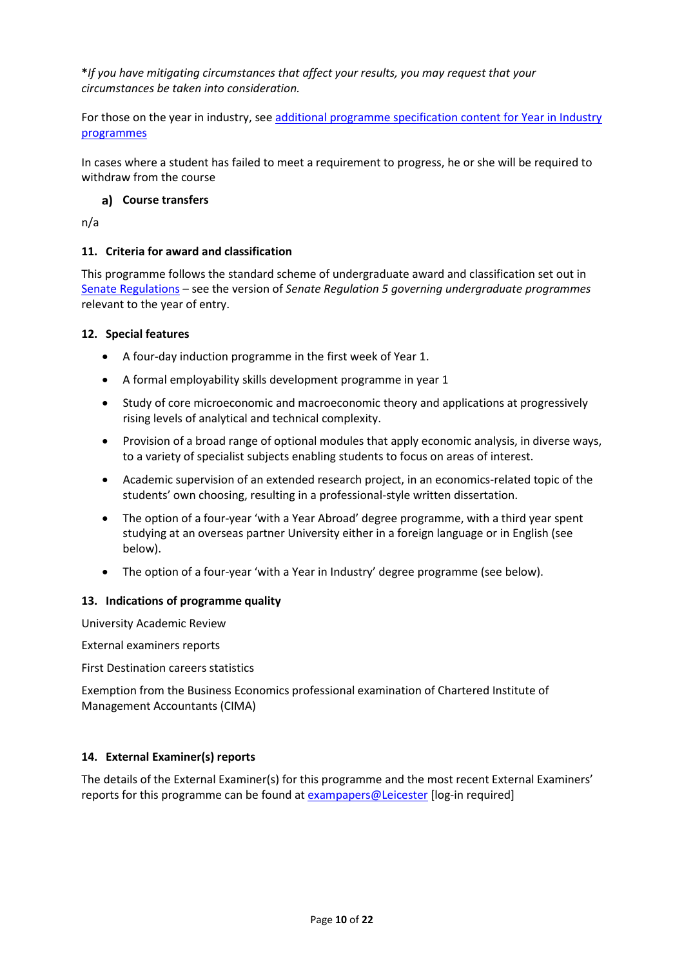**\****If you have mitigating circumstances that affect your results, you may request that your circumstances be taken into consideration.*

For those on the year in industry, see additional programme specification content for Year in Industry [programmes](https://www2.le.ac.uk/offices/sas2/courses/documentation/undergraduate-programme-specification-content-for-year-in-industry-programme-variants)

In cases where a student has failed to meet a requirement to progress, he or she will be required to withdraw from the course

## **Course transfers**

n/a

### **11. Criteria for award and classification**

This programme follows the standard scheme of undergraduate award and classification set out in [Senate Regulations](http://www.le.ac.uk/senate-regulations) – see the version of *Senate Regulation 5 governing undergraduate programmes* relevant to the year of entry.

### **12. Special features**

- A four-day induction programme in the first week of Year 1.
- A formal employability skills development programme in year 1
- Study of core microeconomic and macroeconomic theory and applications at progressively rising levels of analytical and technical complexity.
- Provision of a broad range of optional modules that apply economic analysis, in diverse ways, to a variety of specialist subjects enabling students to focus on areas of interest.
- Academic supervision of an extended research project, in an economics-related topic of the students' own choosing, resulting in a professional-style written dissertation.
- The option of a four-year 'with a Year Abroad' degree programme, with a third year spent studying at an overseas partner University either in a foreign language or in English (see below).
- The option of a four-year 'with a Year in Industry' degree programme (see below).

### **13. Indications of programme quality**

University Academic Review

External examiners reports

First Destination careers statistics

Exemption from the Business Economics professional examination of Chartered Institute of Management Accountants (CIMA)

### **14. External Examiner(s) reports**

The details of the External Examiner(s) for this programme and the most recent External Examiners' reports for this programme can be found at [exampapers@Leicester](https://exampapers.le.ac.uk/) [log-in required]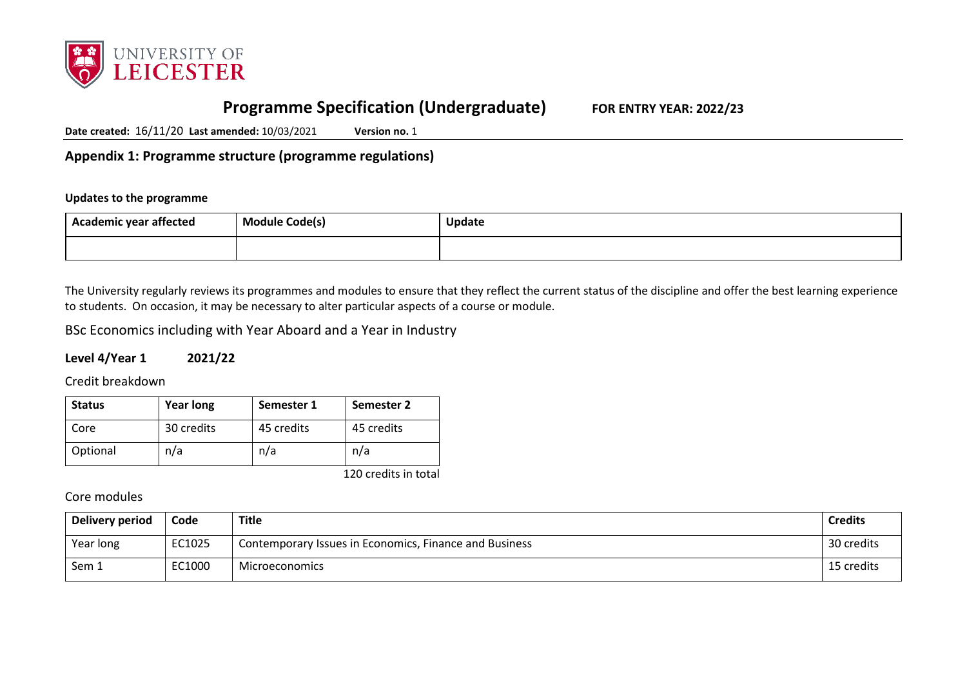

# **Programme Specification (Undergraduate) FOR ENTRY YEAR: 2022/23**

**Date created:** 16/11/20 **Last amended:** 10/03/2021 **Version no.** 1

**Appendix 1: Programme structure (programme regulations)**

## **Updates to the programme**

| <br>Academic year affected | . .<br>$\sim$ $\sim$<br>Module Code(s) | Update |
|----------------------------|----------------------------------------|--------|
|                            |                                        |        |

The University regularly reviews its programmes and modules to ensure that they reflect the current status of the discipline and offer the best learning experience to students. On occasion, it may be necessary to alter particular aspects of a course or module.

BSc Economics including with Year Aboard and a Year in Industry

## **Level 4/Year 1 2021/22**

Credit breakdown

| <b>Status</b> | <b>Year long</b> | Semester 1 | Semester 2 |
|---------------|------------------|------------|------------|
| Core          | 30 credits       | 45 credits | 45 credits |
| Optional      | n/a              | n/a        | n/a        |

120 credits in total

Core modules

| Delivery period | Code   | Title                                                  | <b>Credits</b> |
|-----------------|--------|--------------------------------------------------------|----------------|
| Year long       | EC1025 | Contemporary Issues in Economics, Finance and Business | 30 credits     |
| Sem 1           | EC1000 | Microeconomics                                         | 15 credits     |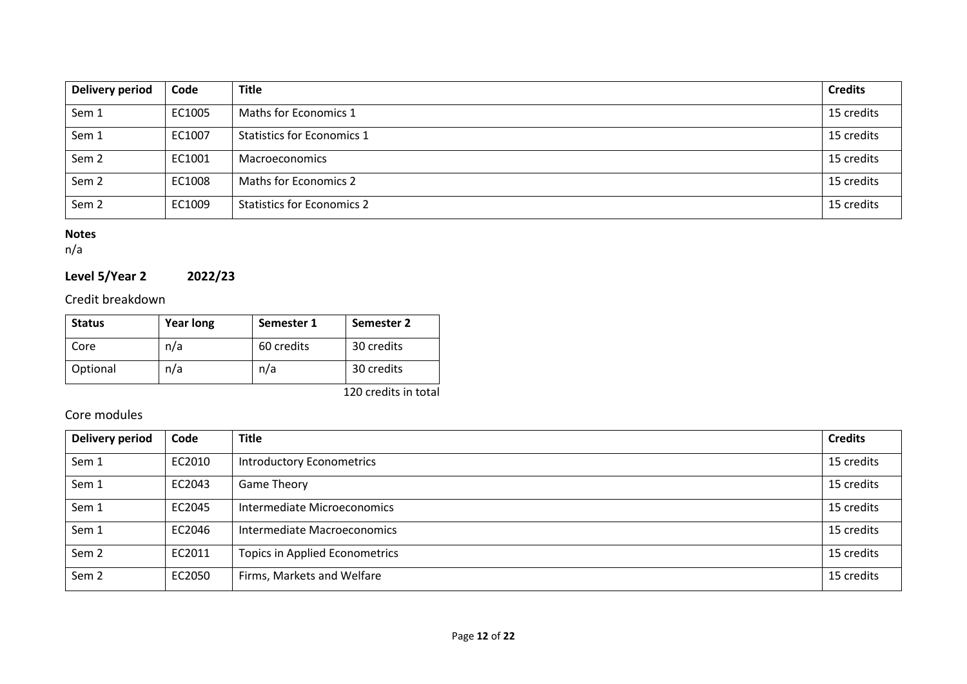| Delivery period  | Code   | <b>Title</b>                      | <b>Credits</b> |
|------------------|--------|-----------------------------------|----------------|
| Sem 1            | EC1005 | Maths for Economics 1             | 15 credits     |
| Sem 1            | EC1007 | <b>Statistics for Economics 1</b> | 15 credits     |
| Sem <sub>2</sub> | EC1001 | <b>Macroeconomics</b>             | 15 credits     |
| Sem <sub>2</sub> | EC1008 | <b>Maths for Economics 2</b>      | 15 credits     |
| Sem <sub>2</sub> | EC1009 | <b>Statistics for Economics 2</b> | 15 credits     |

## **Notes**

n/a

# **Level 5/Year 2 2022/23**

# Credit breakdown

| <b>Status</b> | <b>Year long</b> | Semester 1 | Semester 2 |
|---------------|------------------|------------|------------|
| Core          | n/a              | 60 credits | 30 credits |
| Optional      | n/a              | n/a        | 30 credits |

120 credits in total

# Core modules

| <b>Delivery period</b> | Code   | <b>Title</b>                          | <b>Credits</b> |
|------------------------|--------|---------------------------------------|----------------|
| Sem 1                  | EC2010 | <b>Introductory Econometrics</b>      | 15 credits     |
| Sem 1                  | EC2043 | <b>Game Theory</b>                    | 15 credits     |
| Sem 1                  | EC2045 | Intermediate Microeconomics           | 15 credits     |
| Sem 1                  | EC2046 | Intermediate Macroeconomics           | 15 credits     |
| Sem <sub>2</sub>       | EC2011 | <b>Topics in Applied Econometrics</b> | 15 credits     |
| Sem <sub>2</sub>       | EC2050 | Firms, Markets and Welfare            | 15 credits     |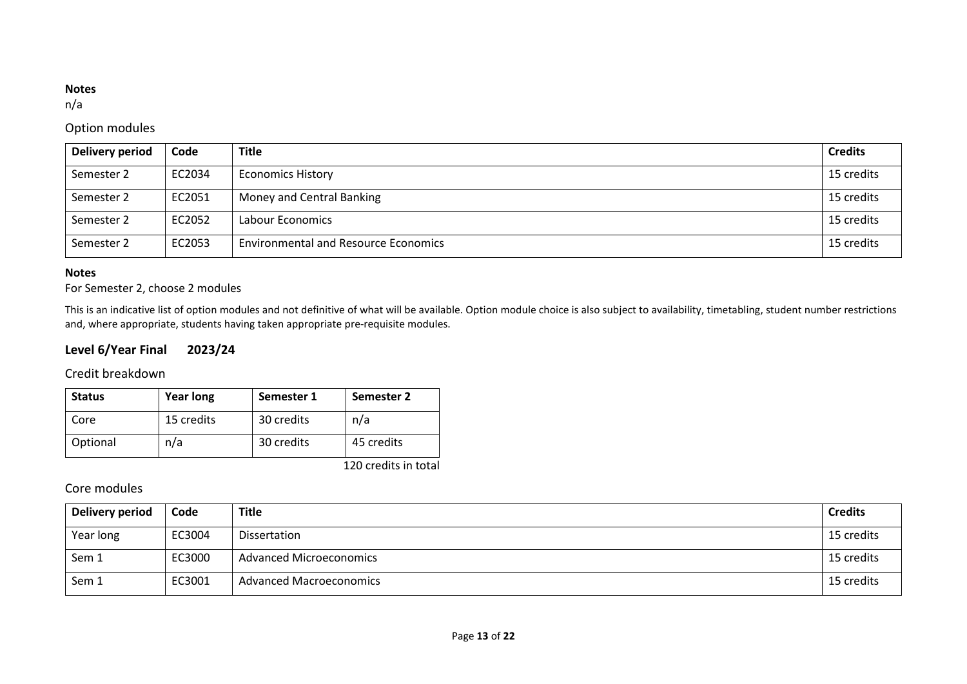## **Notes**

n/a

# Option modules

| <b>Delivery period</b> | Code   | <b>Title</b>                                | <b>Credits</b> |
|------------------------|--------|---------------------------------------------|----------------|
| Semester 2             | EC2034 | <b>Economics History</b>                    | 15 credits     |
| Semester 2             | EC2051 | Money and Central Banking                   | 15 credits     |
| Semester 2             | EC2052 | Labour Economics                            | 15 credits     |
| Semester 2             | EC2053 | <b>Environmental and Resource Economics</b> | 15 credits     |

## **Notes**

# For Semester 2, choose 2 modules

This is an indicative list of option modules and not definitive of what will be available. Option module choice is also subject to availability, timetabling, student number restrictions and, where appropriate, students having taken appropriate pre-requisite modules.

# **Level 6/Year Final 2023/24**

## Credit breakdown

| <b>Status</b> | <b>Year long</b> | Semester 1 | Semester 2                         |
|---------------|------------------|------------|------------------------------------|
| Core          | 15 credits       | 30 credits | n/a                                |
| Optional      | n/a              | 30 credits | 45 credits                         |
|               |                  |            | $4.20 \pm 0.011$ . $1.11 \pm 0.11$ |

120 credits in total

# Core modules

| Delivery period | Code   | <b>Title</b>                   | <b>Credits</b> |
|-----------------|--------|--------------------------------|----------------|
| Year long       | EC3004 | Dissertation                   | 15 credits     |
| Sem 1           | EC3000 | <b>Advanced Microeconomics</b> | 15 credits     |
| Sem 1           | EC3001 | <b>Advanced Macroeconomics</b> | 15 credits     |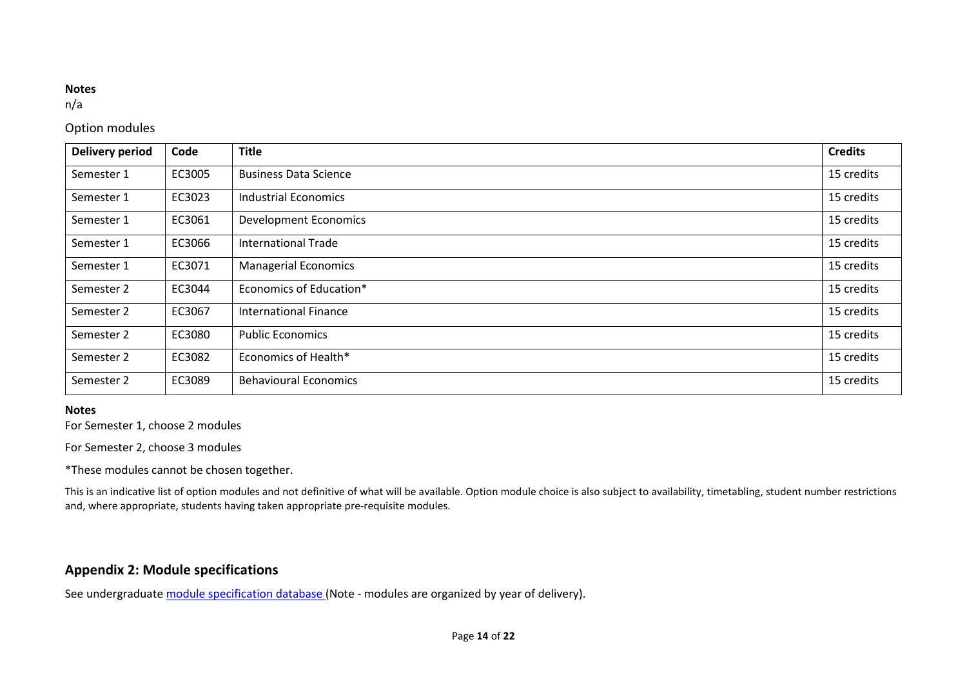#### **Notes**

n/a

# Option modules

| <b>Delivery period</b> | Code   | <b>Title</b>                 | <b>Credits</b> |
|------------------------|--------|------------------------------|----------------|
| Semester 1             | EC3005 | <b>Business Data Science</b> | 15 credits     |
| Semester 1             | EC3023 | <b>Industrial Economics</b>  | 15 credits     |
| Semester 1             | EC3061 | <b>Development Economics</b> | 15 credits     |
| Semester 1             | EC3066 | <b>International Trade</b>   | 15 credits     |
| Semester 1             | EC3071 | <b>Managerial Economics</b>  | 15 credits     |
| Semester 2             | EC3044 | Economics of Education*      | 15 credits     |
| Semester 2             | EC3067 | <b>International Finance</b> | 15 credits     |
| Semester 2             | EC3080 | <b>Public Economics</b>      | 15 credits     |
| Semester 2             | EC3082 | Economics of Health*         | 15 credits     |
| Semester 2             | EC3089 | <b>Behavioural Economics</b> | 15 credits     |

# **Notes**

For Semester 1, choose 2 modules

For Semester 2, choose 3 modules

\*These modules cannot be chosen together.

This is an indicative list of option modules and not definitive of what will be available. Option module choice is also subject to availability, timetabling, student number restrictions and, where appropriate, students having taken appropriate pre-requisite modules.

# **Appendix 2: Module specifications**

See undergraduat[e module specification database](http://www.le.ac.uk/sas/courses/documentation) (Note - modules are organized by year of delivery).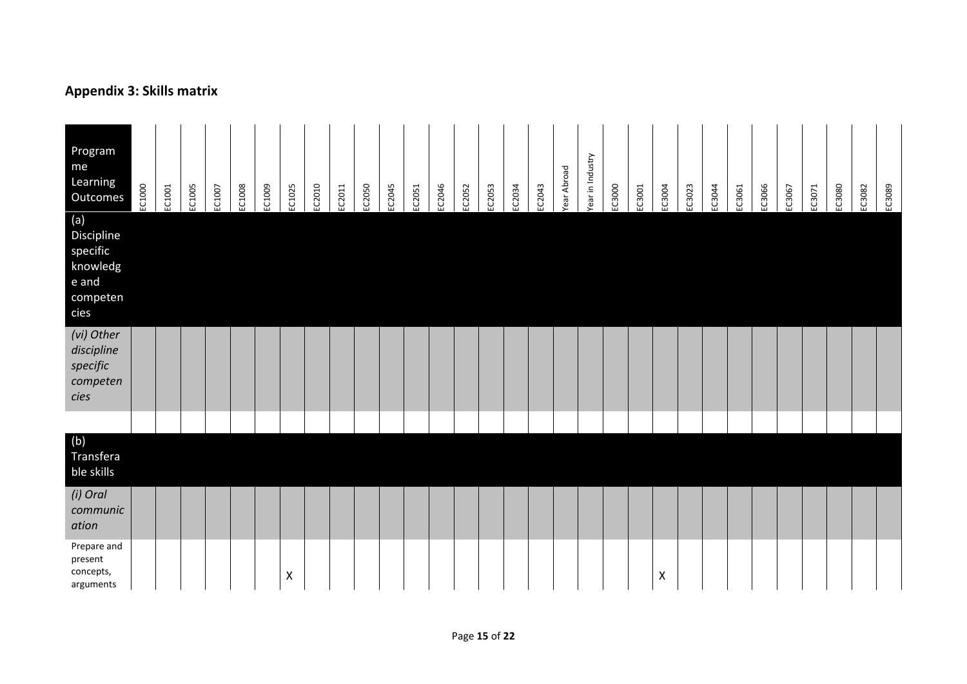# **Appendix 3: Skills matrix**

| Program<br>me<br>Learning<br>Outcomes<br>(a)<br>Discipline<br>specific<br>knowledg<br>e and<br>competen<br>cies | EC1000 | EC1001 | EC1005 | EC1007 | EC1008 | EC1009 | EC1025             | EC2010 | EC2011 | EC2050 | EC2045 | EC2051 | EC2046 | EC2052 | EC2053 | EC2034 | EC2043 | Year Abroad | Year in Industry | EC3000 | EC3001 | EC3004 | EC3023 | EC3044 | EC3061 | EC3066 | EC3067 | EC3071 | EC3080 | EC3082 | EC3089 |
|-----------------------------------------------------------------------------------------------------------------|--------|--------|--------|--------|--------|--------|--------------------|--------|--------|--------|--------|--------|--------|--------|--------|--------|--------|-------------|------------------|--------|--------|--------|--------|--------|--------|--------|--------|--------|--------|--------|--------|
| (vi) Other<br>discipline<br>specific<br>competen<br>cies                                                        |        |        |        |        |        |        |                    |        |        |        |        |        |        |        |        |        |        |             |                  |        |        |        |        |        |        |        |        |        |        |        |        |
|                                                                                                                 |        |        |        |        |        |        |                    |        |        |        |        |        |        |        |        |        |        |             |                  |        |        |        |        |        |        |        |        |        |        |        |        |
| (b)<br>Transfera<br>ble skills                                                                                  |        |        |        |        |        |        |                    |        |        |        |        |        |        |        |        |        |        |             |                  |        |        |        |        |        |        |        |        |        |        |        |        |
| (i) Oral<br>communic<br>ation                                                                                   |        |        |        |        |        |        |                    |        |        |        |        |        |        |        |        |        |        |             |                  |        |        |        |        |        |        |        |        |        |        |        |        |
| Prepare and<br>present<br>concepts,<br>arguments                                                                |        |        |        |        |        |        | $\pmb{\mathsf{X}}$ |        |        |        |        |        |        |        |        |        |        |             |                  |        |        | Χ      |        |        |        |        |        |        |        |        |        |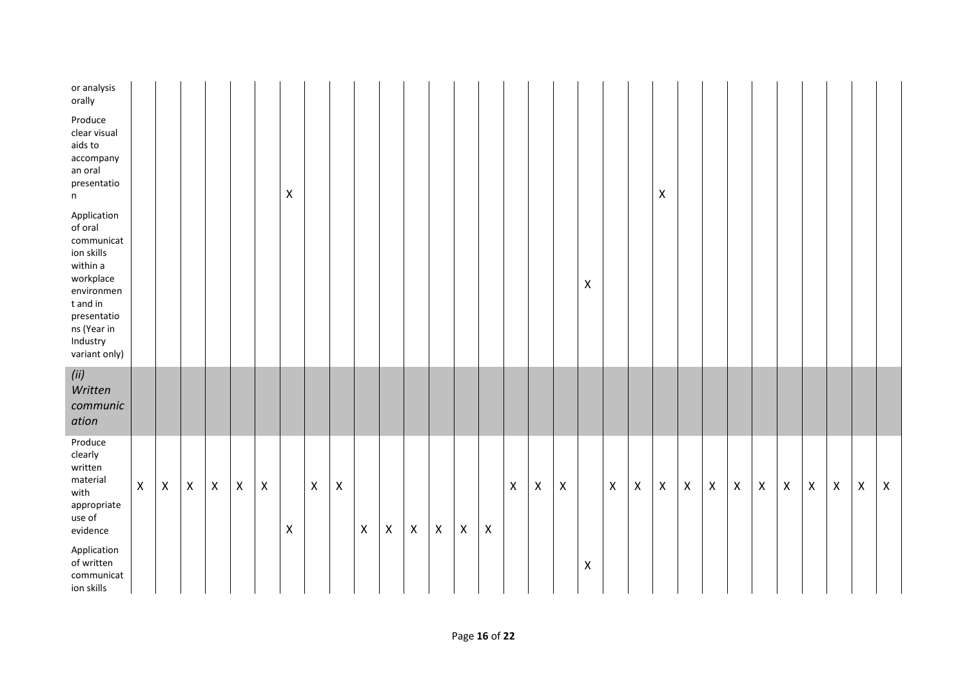| or analysis<br>orally                                                                                                                                            |                    |              |                |                |                |                |                |              |                           |                |                |                |                    |                |                    |                    |                |                           |                    |              |                |                |                |              |                |                    |                    |                    |                |                |             |
|------------------------------------------------------------------------------------------------------------------------------------------------------------------|--------------------|--------------|----------------|----------------|----------------|----------------|----------------|--------------|---------------------------|----------------|----------------|----------------|--------------------|----------------|--------------------|--------------------|----------------|---------------------------|--------------------|--------------|----------------|----------------|----------------|--------------|----------------|--------------------|--------------------|--------------------|----------------|----------------|-------------|
| Produce<br>clear visual<br>aids to<br>accompany<br>an oral<br>presentatio<br>n                                                                                   |                    |              |                |                |                |                | $\pmb{\times}$ |              |                           |                |                |                |                    |                |                    |                    |                |                           |                    |              |                | $\pmb{\times}$ |                |              |                |                    |                    |                    |                |                |             |
| Application<br>of oral<br>communicat<br>ion skills<br>within a<br>workplace<br>environmen<br>t and in<br>presentatio<br>ns (Year in<br>Industry<br>variant only) |                    |              |                |                |                |                |                |              |                           |                |                |                |                    |                |                    |                    |                |                           | $\pmb{\mathsf{X}}$ |              |                |                |                |              |                |                    |                    |                    |                |                |             |
| (ii)<br>Written<br>communic<br>ation                                                                                                                             |                    |              |                |                |                |                |                |              |                           |                |                |                |                    |                |                    |                    |                |                           |                    |              |                |                |                |              |                |                    |                    |                    |                |                |             |
| Produce<br>clearly<br>written<br>material<br>with<br>appropriate<br>use of<br>evidence                                                                           | $\pmb{\mathsf{X}}$ | $\mathsf{X}$ | $\pmb{\times}$ | $\pmb{\times}$ | $\pmb{\times}$ | $\pmb{\times}$ | $\pmb{\times}$ | $\mathsf{X}$ | $\boldsymbol{\mathsf{X}}$ | $\pmb{\times}$ | $\pmb{\times}$ | $\pmb{\times}$ | $\pmb{\mathsf{X}}$ | $\pmb{\times}$ | $\pmb{\mathsf{X}}$ | $\pmb{\mathsf{X}}$ | $\pmb{\times}$ | $\boldsymbol{\mathsf{X}}$ |                    | $\mathsf{X}$ | $\pmb{\times}$ | $\mathsf{X}$   | $\pmb{\times}$ | $\mathsf{X}$ | $\pmb{\times}$ | $\pmb{\mathsf{X}}$ | $\pmb{\mathsf{X}}$ | $\pmb{\mathsf{X}}$ | $\pmb{\times}$ | $\pmb{\times}$ | $\mathsf X$ |
| Application<br>of written<br>communicat<br>ion skills                                                                                                            |                    |              |                |                |                |                |                |              |                           |                |                |                |                    |                |                    |                    |                |                           | $\pmb{\mathsf{X}}$ |              |                |                |                |              |                |                    |                    |                    |                |                |             |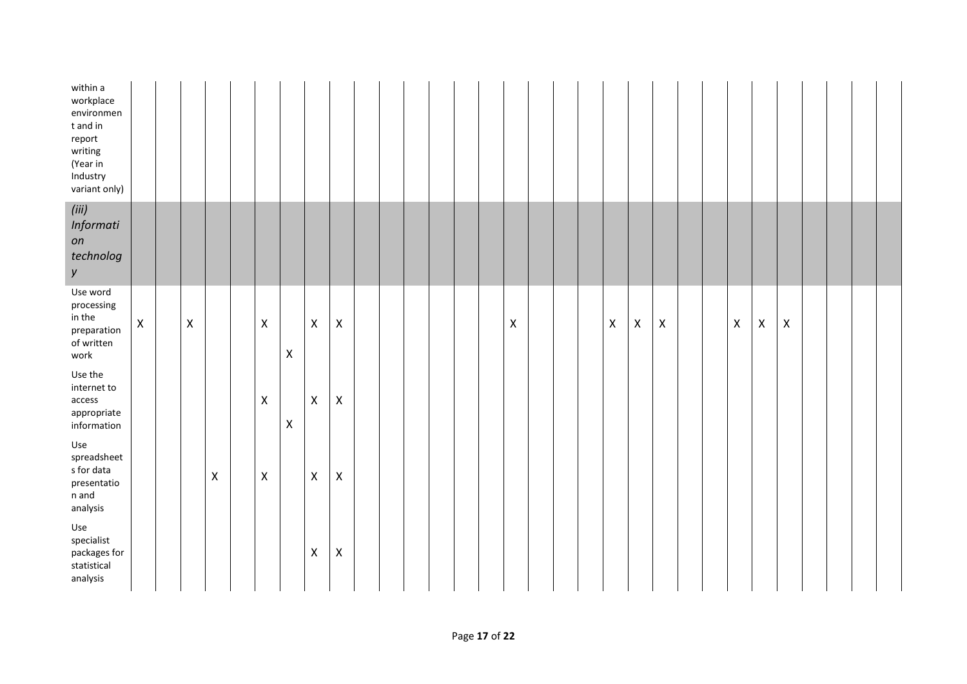| within a<br>workplace<br>environmen<br>t and in<br>report<br>writing<br>(Year in<br>Industry<br>variant only) |                    |                |                    |                           |   |                    |                           |  |  |  |                    |  |             |                           |                |  |                    |             |                    |  |  |
|---------------------------------------------------------------------------------------------------------------|--------------------|----------------|--------------------|---------------------------|---|--------------------|---------------------------|--|--|--|--------------------|--|-------------|---------------------------|----------------|--|--------------------|-------------|--------------------|--|--|
| (iii)<br>Informati<br>on<br>technolog<br>у                                                                    |                    |                |                    |                           |   |                    |                           |  |  |  |                    |  |             |                           |                |  |                    |             |                    |  |  |
| Use word<br>processing<br>in the<br>preparation<br>of written<br>work                                         | $\pmb{\mathsf{X}}$ | $\pmb{\times}$ |                    | $\pmb{\mathsf{X}}$        | Χ | $\pmb{\times}$     | $\boldsymbol{\mathsf{X}}$ |  |  |  | $\pmb{\mathsf{X}}$ |  | $\mathsf X$ | $\boldsymbol{\mathsf{X}}$ | $\pmb{\times}$ |  | $\pmb{\mathsf{X}}$ | $\mathsf X$ | $\pmb{\mathsf{X}}$ |  |  |
| Use the<br>internet to<br>access<br>appropriate<br>information                                                |                    |                |                    | $\mathsf X$               | Χ | $\pmb{\mathsf{X}}$ | $\mathsf X$               |  |  |  |                    |  |             |                           |                |  |                    |             |                    |  |  |
| Use<br>spreadsheet<br>s for data<br>presentatio<br>$\sf n$ and<br>analysis                                    |                    |                | $\pmb{\mathsf{X}}$ | $\boldsymbol{\mathsf{X}}$ |   | $\pmb{\mathsf{X}}$ | $\pmb{\mathsf{X}}$        |  |  |  |                    |  |             |                           |                |  |                    |             |                    |  |  |
| Use<br>specialist<br>packages for<br>$\sf statistical$<br>analysis                                            |                    |                |                    |                           |   | $\pmb{\mathsf{X}}$ | $\pmb{\times}$            |  |  |  |                    |  |             |                           |                |  |                    |             |                    |  |  |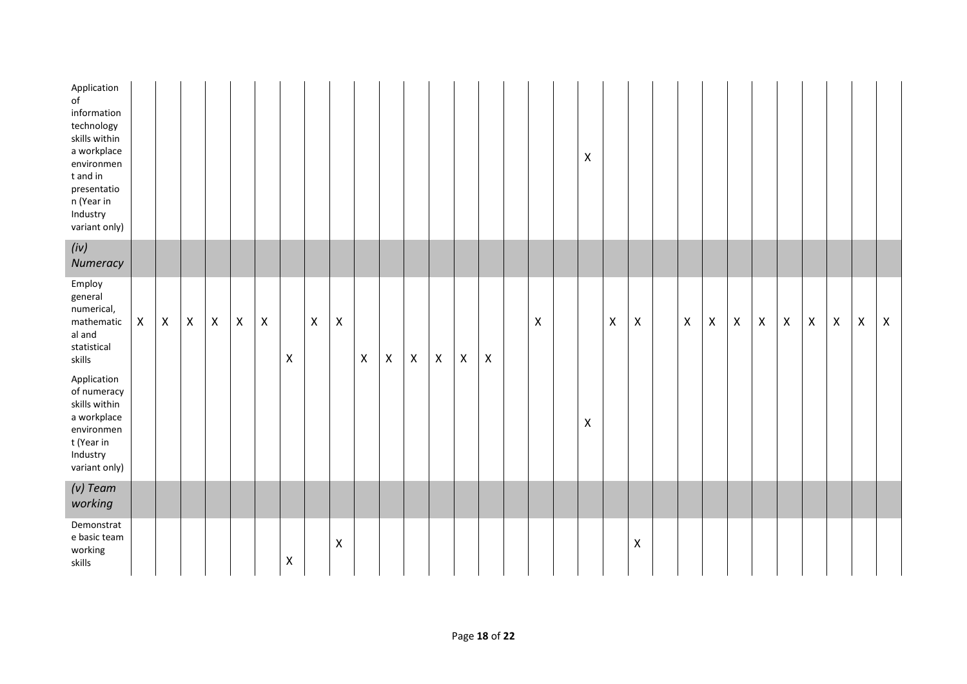| Application<br>of<br>information<br>technology<br>skills within<br>a workplace<br>environmen<br>t and in<br>presentatio<br>n (Year in<br>Industry<br>variant only) |                    |                    |                    |                |                    |                    |                |                    |                |                    |                    |                    |                    |                    |                    |                    | Χ |                |                    |                    |                    |                    |             |                           |             |                |                    |             |
|--------------------------------------------------------------------------------------------------------------------------------------------------------------------|--------------------|--------------------|--------------------|----------------|--------------------|--------------------|----------------|--------------------|----------------|--------------------|--------------------|--------------------|--------------------|--------------------|--------------------|--------------------|---|----------------|--------------------|--------------------|--------------------|--------------------|-------------|---------------------------|-------------|----------------|--------------------|-------------|
| (iv)<br>Numeracy                                                                                                                                                   |                    |                    |                    |                |                    |                    |                |                    |                |                    |                    |                    |                    |                    |                    |                    |   |                |                    |                    |                    |                    |             |                           |             |                |                    |             |
| Employ<br>general<br>numerical,<br>mathematic<br>al and<br>statistical<br>skills<br>Application<br>of numeracy<br>skills within                                    | $\pmb{\mathsf{X}}$ | $\pmb{\mathsf{X}}$ | $\pmb{\mathsf{X}}$ | $\pmb{\times}$ | $\pmb{\mathsf{X}}$ | $\pmb{\mathsf{X}}$ | $\pmb{\times}$ | $\pmb{\mathsf{X}}$ | $\pmb{\times}$ | $\pmb{\mathsf{X}}$ | $\pmb{\mathsf{X}}$ | $\pmb{\mathsf{X}}$ | $\pmb{\mathsf{X}}$ | $\pmb{\mathsf{X}}$ | $\pmb{\mathsf{X}}$ | $\pmb{\mathsf{X}}$ |   | $\pmb{\times}$ | $\pmb{\mathsf{X}}$ | $\pmb{\mathsf{X}}$ | $\pmb{\mathsf{X}}$ | $\pmb{\mathsf{X}}$ | $\mathsf X$ | $\boldsymbol{\mathsf{X}}$ | $\mathsf X$ | $\pmb{\times}$ | $\pmb{\mathsf{X}}$ | $\mathsf X$ |
| a workplace<br>environmen<br>t (Year in<br>Industry<br>variant only)                                                                                               |                    |                    |                    |                |                    |                    |                |                    |                |                    |                    |                    |                    |                    |                    |                    | Χ |                |                    |                    |                    |                    |             |                           |             |                |                    |             |
| $(v)$ Team<br>working                                                                                                                                              |                    |                    |                    |                |                    |                    |                |                    |                |                    |                    |                    |                    |                    |                    |                    |   |                |                    |                    |                    |                    |             |                           |             |                |                    |             |
| Demonstrat<br>e basic team<br>working<br>skills                                                                                                                    |                    |                    |                    |                |                    |                    | $\mathsf X$    |                    | X              |                    |                    |                    |                    |                    |                    |                    |   |                | $\pmb{\mathsf{X}}$ |                    |                    |                    |             |                           |             |                |                    |             |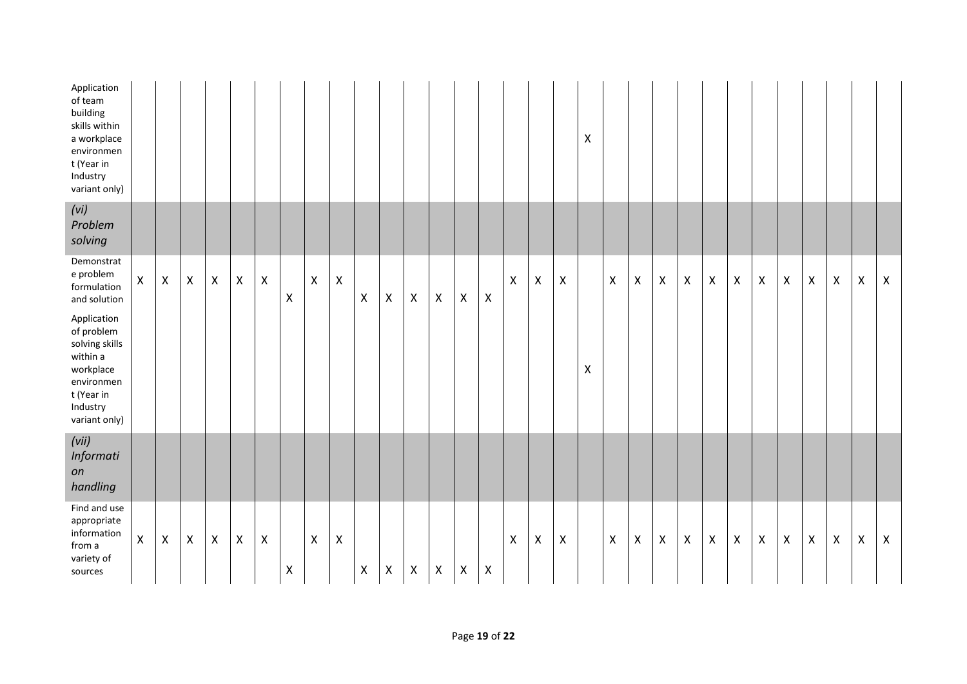| Application<br>of team<br>building<br>skills within<br>a workplace<br>environmen<br>t (Year in<br>Industry<br>variant only)   |                    |                |                |                |                           |                |                    |                    |                |                    |                    |                    |                    |                    |                    |                    |                           |                           | $\pmb{\mathsf{X}}$        |                |                    |                           |                |                    |                           |                    |                    |                    |                    |                    |              |
|-------------------------------------------------------------------------------------------------------------------------------|--------------------|----------------|----------------|----------------|---------------------------|----------------|--------------------|--------------------|----------------|--------------------|--------------------|--------------------|--------------------|--------------------|--------------------|--------------------|---------------------------|---------------------------|---------------------------|----------------|--------------------|---------------------------|----------------|--------------------|---------------------------|--------------------|--------------------|--------------------|--------------------|--------------------|--------------|
| (vi)<br>Problem<br>solving                                                                                                    |                    |                |                |                |                           |                |                    |                    |                |                    |                    |                    |                    |                    |                    |                    |                           |                           |                           |                |                    |                           |                |                    |                           |                    |                    |                    |                    |                    |              |
| Demonstrat<br>e problem<br>formulation<br>and solution                                                                        | $\pmb{\mathsf{X}}$ | $\mathsf X$    | $\pmb{\times}$ | $\pmb{\times}$ | $\pmb{\times}$            | $\pmb{\times}$ | $\pmb{\times}$     | $\pmb{\mathsf{X}}$ | $\pmb{\times}$ | $\pmb{\mathsf{X}}$ | $\pmb{\mathsf{X}}$ | $\pmb{\mathsf{X}}$ | $\pmb{\mathsf{X}}$ | $\pmb{\mathsf{X}}$ | $\pmb{\mathsf{X}}$ | $\pmb{\mathsf{X}}$ | $\pmb{\mathsf{X}}$        | $\boldsymbol{\mathsf{X}}$ |                           | $\pmb{\times}$ | $\pmb{\mathsf{X}}$ | $\boldsymbol{\mathsf{X}}$ | $\pmb{\times}$ | $\pmb{\mathsf{X}}$ | $\boldsymbol{\mathsf{X}}$ | $\pmb{\mathsf{X}}$ | $\pmb{\mathsf{X}}$ | $\pmb{\mathsf{X}}$ | $\pmb{\mathsf{X}}$ | $\pmb{\mathsf{X}}$ | $\mathsf{X}$ |
| Application<br>of problem<br>solving skills<br>within a<br>workplace<br>environmen<br>t (Year in<br>Industry<br>variant only) |                    |                |                |                |                           |                |                    |                    |                |                    |                    |                    |                    |                    |                    |                    |                           |                           | $\boldsymbol{\mathsf{X}}$ |                |                    |                           |                |                    |                           |                    |                    |                    |                    |                    |              |
| (vii)<br>Informati<br>on<br>handling                                                                                          |                    |                |                |                |                           |                |                    |                    |                |                    |                    |                    |                    |                    |                    |                    |                           |                           |                           |                |                    |                           |                |                    |                           |                    |                    |                    |                    |                    |              |
| Find and use<br>appropriate<br>information<br>from a<br>variety of<br>sources                                                 | $\pmb{\mathsf{X}}$ | $\pmb{\times}$ | $\pmb{\times}$ | $\pmb{\times}$ | $\boldsymbol{\mathsf{X}}$ | $\pmb{\times}$ | $\pmb{\mathsf{X}}$ | $\pmb{\times}$     | $\pmb{\times}$ | $\pmb{\mathsf{X}}$ | $\pmb{\times}$     | $\pmb{\mathsf{X}}$ | $\mathsf X$        | $\pmb{\mathsf{X}}$ | $\pmb{\mathsf{X}}$ | $\pmb{\mathsf{X}}$ | $\boldsymbol{\mathsf{X}}$ | $\boldsymbol{\mathsf{X}}$ |                           | $\pmb{\times}$ | $\pmb{\mathsf{X}}$ | $\pmb{\times}$            | $\pmb{\times}$ | $\mathsf X$        | $\pmb{\times}$            | $\pmb{\mathsf{X}}$ | $\pmb{\mathsf{X}}$ | $\pmb{\mathsf{X}}$ | $\pmb{\mathsf{X}}$ | $\pmb{\mathsf{X}}$ | $\mathsf X$  |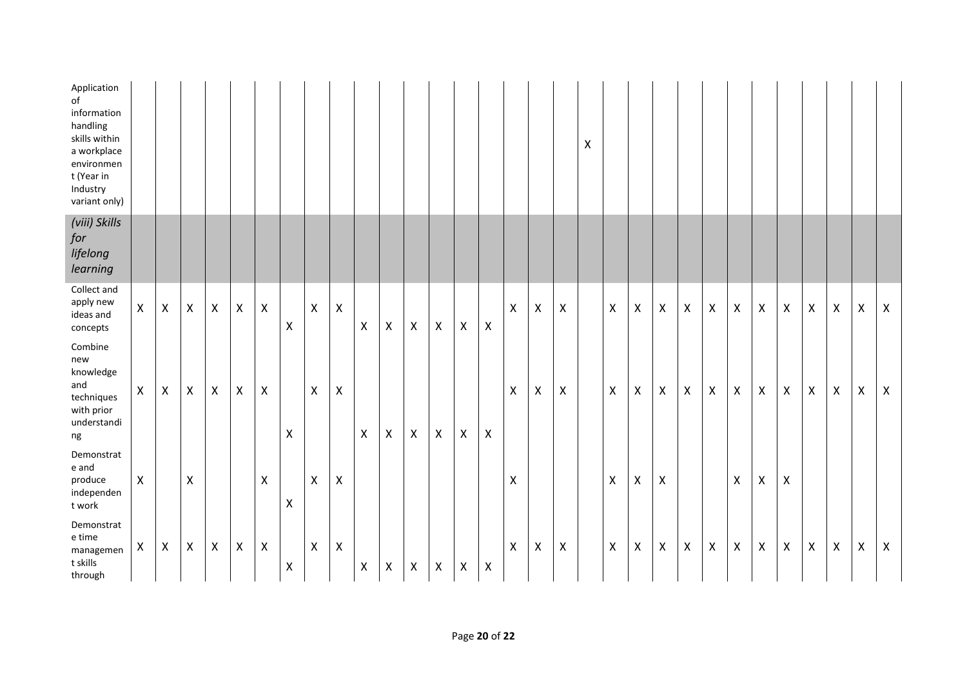| Application<br>of<br>information<br>handling<br>skills within<br>a workplace<br>environmen<br>t (Year in<br>Industry<br>variant only) |                    |                    |                    |                    |                    |                           |                           |                    |                           |                           |                    |                |                    |                    |                    |                    |                    |                    | $\pmb{\mathsf{X}}$ |                    |                    |                           |                    |                           |                |                           |                           |              |                |                    |                           |
|---------------------------------------------------------------------------------------------------------------------------------------|--------------------|--------------------|--------------------|--------------------|--------------------|---------------------------|---------------------------|--------------------|---------------------------|---------------------------|--------------------|----------------|--------------------|--------------------|--------------------|--------------------|--------------------|--------------------|--------------------|--------------------|--------------------|---------------------------|--------------------|---------------------------|----------------|---------------------------|---------------------------|--------------|----------------|--------------------|---------------------------|
| (viii) Skills<br>for<br>lifelong<br>learning                                                                                          |                    |                    |                    |                    |                    |                           |                           |                    |                           |                           |                    |                |                    |                    |                    |                    |                    |                    |                    |                    |                    |                           |                    |                           |                |                           |                           |              |                |                    |                           |
| Collect and<br>apply new<br>ideas and<br>concepts                                                                                     | $\pmb{\mathsf{X}}$ | $\pmb{\mathsf{X}}$ | $\pmb{\mathsf{X}}$ | $\pmb{\mathsf{X}}$ | $\pmb{\mathsf{X}}$ | $\boldsymbol{\mathsf{X}}$ | $\pmb{\times}$            | $\pmb{\mathsf{X}}$ | $\boldsymbol{\mathsf{X}}$ | $\boldsymbol{\mathsf{X}}$ | $\mathsf{X}$       | $\pmb{\times}$ | $\pmb{\times}$     | $\pmb{\mathsf{X}}$ | $\pmb{\times}$     | $\pmb{\times}$     | $\pmb{\mathsf{X}}$ | $\pmb{\mathsf{X}}$ |                    | $\pmb{\mathsf{X}}$ | $\pmb{\mathsf{X}}$ | $\mathsf{X}$              | $\mathsf{\chi}$    | $\boldsymbol{\mathsf{X}}$ | $\mathsf{X}$   | $\mathsf{X}$              | $\pmb{\times}$            | $\mathsf{X}$ | $\pmb{\times}$ | $\pmb{\mathsf{X}}$ | $\boldsymbol{\mathsf{X}}$ |
| Combine<br>new<br>knowledge<br>and<br>techniques<br>with prior<br>understandi<br>$ng$                                                 | $\pmb{\times}$     | $\pmb{\mathsf{X}}$ | $\mathsf{X}$       | $\pmb{\mathsf{X}}$ | $\pmb{\mathsf{X}}$ | $\pmb{\mathsf{X}}$        | $\pmb{\times}$            | $\mathsf X$        | $\pmb{\times}$            | $\pmb{\times}$            | $\pmb{\mathsf{X}}$ | $\pmb{\times}$ | $\pmb{\times}$     | $\pmb{\times}$     | $\pmb{\mathsf{X}}$ | $\pmb{\times}$     | $\pmb{\mathsf{X}}$ | X                  |                    | $\pmb{\mathsf{X}}$ | $\pmb{\mathsf{X}}$ | $\boldsymbol{\mathsf{X}}$ | $\pmb{\mathsf{X}}$ | $\pmb{\times}$            | $\pmb{\times}$ | $\boldsymbol{\mathsf{X}}$ | $\boldsymbol{\mathsf{X}}$ | $\mathsf{X}$ | $\pmb{\times}$ | $\pmb{\mathsf{X}}$ | $\mathsf{X}$              |
| Demonstrat<br>e and<br>produce<br>independen<br>t work                                                                                | $\mathsf X$        |                    | X                  |                    |                    | $\pmb{\times}$            | $\boldsymbol{\mathsf{X}}$ | $\mathsf{X}$       | $\boldsymbol{\mathsf{X}}$ |                           |                    |                |                    |                    |                    | $\pmb{\mathsf{X}}$ |                    |                    |                    | $\mathsf X$        | $\pmb{\mathsf{X}}$ | $\boldsymbol{\mathsf{X}}$ |                    |                           | $\pmb{\times}$ | $\pmb{\mathsf{X}}$        | Χ                         |              |                |                    |                           |
| Demonstrat<br>${\sf e}$ time<br>managemen<br>t skills<br>through                                                                      | $\pmb{\mathsf{X}}$ | $\mathsf{X}$       | $\mathsf{X}$       | $\pmb{\times}$     | X                  | $\pmb{\times}$            | $\pmb{\times}$            | $\mathsf{X}$       | $\pmb{\times}$            | X                         | $\pmb{\mathsf{X}}$ | $\pmb{\times}$ | $\pmb{\mathsf{X}}$ | $\pmb{\times}$     | $\pmb{\times}$     | $\pmb{\times}$     | $\pmb{\mathsf{X}}$ | $\pmb{\mathsf{X}}$ |                    | $\pmb{\times}$     | X                  | $\boldsymbol{\mathsf{X}}$ | X                  | $\boldsymbol{X}$          | $\pmb{\times}$ | $\boldsymbol{\mathsf{X}}$ | $\pmb{\times}$            | $\mathsf{X}$ | $\pmb{\times}$ | $\pmb{\mathsf{X}}$ | $\boldsymbol{X}$          |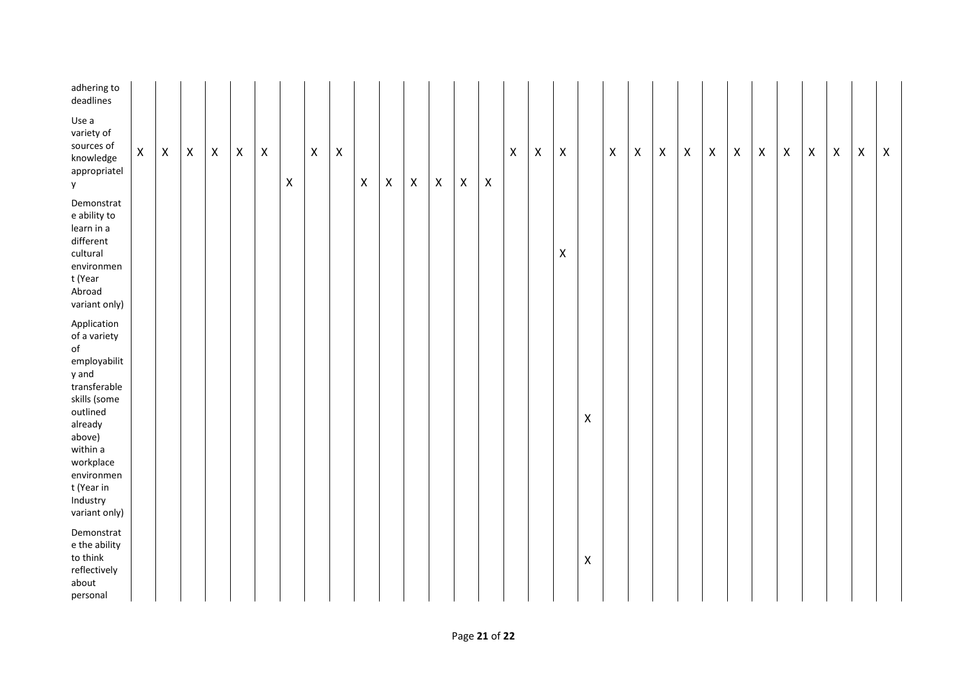| adhering to<br>deadlines                                                                                                                                                                                                 |             |             |                    |                    |                    |                    |                           |                    |                           |                    |                |                    |                |                    |                           |                    |                |                |                    |                |                    |                    |                    |                    |                    |                    |                    |                    |                    |   |                    |
|--------------------------------------------------------------------------------------------------------------------------------------------------------------------------------------------------------------------------|-------------|-------------|--------------------|--------------------|--------------------|--------------------|---------------------------|--------------------|---------------------------|--------------------|----------------|--------------------|----------------|--------------------|---------------------------|--------------------|----------------|----------------|--------------------|----------------|--------------------|--------------------|--------------------|--------------------|--------------------|--------------------|--------------------|--------------------|--------------------|---|--------------------|
| Use a<br>variety of<br>sources of<br>knowledge<br>appropriatel<br>y                                                                                                                                                      | $\mathsf X$ | $\mathsf X$ | $\pmb{\mathsf{X}}$ | $\pmb{\mathsf{X}}$ | $\pmb{\mathsf{X}}$ | $\pmb{\mathsf{X}}$ | $\boldsymbol{\mathsf{X}}$ | $\pmb{\mathsf{X}}$ | $\boldsymbol{\mathsf{X}}$ | $\pmb{\mathsf{X}}$ | $\pmb{\times}$ | $\pmb{\mathsf{X}}$ | $\pmb{\times}$ | $\pmb{\mathsf{X}}$ | $\boldsymbol{\mathsf{X}}$ | $\pmb{\mathsf{X}}$ | $\pmb{\times}$ | X              |                    | $\pmb{\times}$ | $\pmb{\mathsf{X}}$ | $\pmb{\mathsf{X}}$ | $\pmb{\mathsf{X}}$ | $\pmb{\mathsf{X}}$ | $\pmb{\mathsf{X}}$ | $\pmb{\mathsf{X}}$ | $\pmb{\mathsf{X}}$ | $\pmb{\mathsf{X}}$ | $\pmb{\mathsf{X}}$ | Χ | $\pmb{\mathsf{X}}$ |
| Demonstrat<br>e ability to<br>learn in a<br>different<br>cultural<br>environmen<br>t (Year<br>Abroad<br>variant only)                                                                                                    |             |             |                    |                    |                    |                    |                           |                    |                           |                    |                |                    |                |                    |                           |                    |                | $\pmb{\times}$ |                    |                |                    |                    |                    |                    |                    |                    |                    |                    |                    |   |                    |
| Application<br>of a variety<br>$\mathsf{of}$<br>employabilit<br>y and<br>transferable<br>skills (some<br>outlined<br>already<br>above)<br>within a<br>workplace<br>environmen<br>t (Year in<br>Industry<br>variant only) |             |             |                    |                    |                    |                    |                           |                    |                           |                    |                |                    |                |                    |                           |                    |                |                | $\pmb{\mathsf{X}}$ |                |                    |                    |                    |                    |                    |                    |                    |                    |                    |   |                    |
| Demonstrat<br>e the ability<br>to think<br>reflectively<br>about<br>personal                                                                                                                                             |             |             |                    |                    |                    |                    |                           |                    |                           |                    |                |                    |                |                    |                           |                    |                |                | $\pmb{\mathsf{X}}$ |                |                    |                    |                    |                    |                    |                    |                    |                    |                    |   |                    |